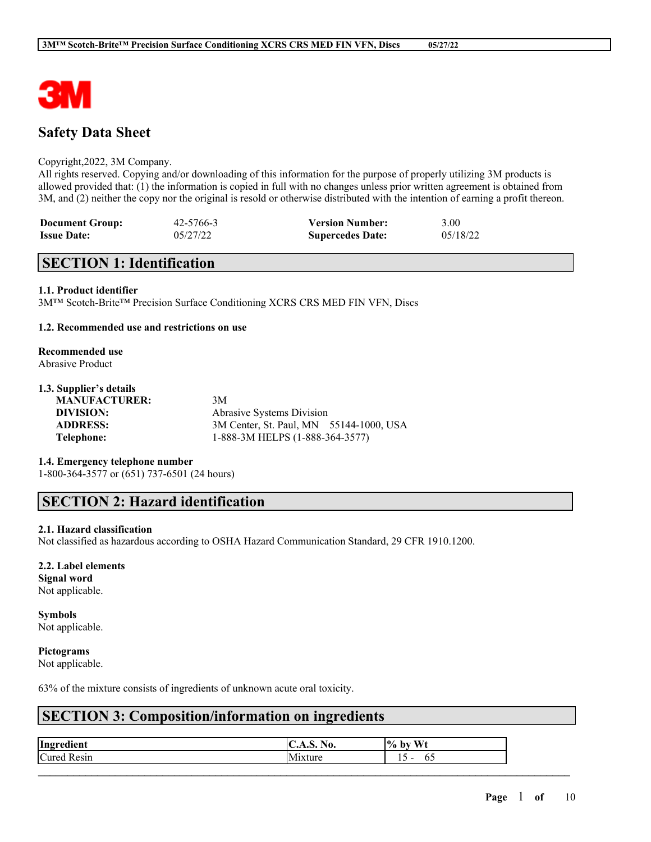

### **Safety Data Sheet**

#### Copyright,2022, 3M Company.

All rights reserved. Copying and/or downloading of this information for the purpose of properly utilizing 3M products is allowed provided that: (1) the information is copied in full with no changes unless prior written agreement is obtained from 3M, and (2) neither the copy nor the original is resold or otherwise distributed with the intention of earning a profit thereon.

| <b>Document Group:</b> | 42-5766-3 | <b>Version Number:</b>  | 3.00     |
|------------------------|-----------|-------------------------|----------|
| <b>Issue Date:</b>     | 05/27/22  | <b>Supercedes Date:</b> | 05/18/22 |

### **SECTION 1: Identification**

#### **1.1. Product identifier**

3M™ Scotch-Brite™ Precision Surface Conditioning XCRS CRS MED FIN VFN, Discs

#### **1.2. Recommended use and restrictions on use**

# **Recommended use**

Abrasive Product

#### **1.3. Supplier's details**

**MANUFACTURER:** 3M

**DIVISION:** Abrasive Systems Division **ADDRESS:** 3M Center, St. Paul, MN 55144-1000, USA **Telephone:** 1-888-3M HELPS (1-888-364-3577)

#### **1.4. Emergency telephone number**

1-800-364-3577 or (651) 737-6501 (24 hours)

### **SECTION 2: Hazard identification**

#### **2.1. Hazard classification**

Not classified as hazardous according to OSHA Hazard Communication Standard, 29 CFR 1910.1200.

#### **2.2. Label elements**

**Signal word** Not applicable.

# **Symbols**

Not applicable.

#### **Pictograms**

Not applicable.

63% of the mixture consists of ingredients of unknown acute oral toxicity.

### **SECTION 3: Composition/information on ingredients**

| Ingredient         | $\mathbf{H}$<br>.S. NO.<br>$\mathbf{C}$ | $%$ by Wt |
|--------------------|-----------------------------------------|-----------|
| <b>Cured Resin</b> | .<br>1xture<br>ΙM                       | 1 J<br>υ. |
|                    |                                         |           |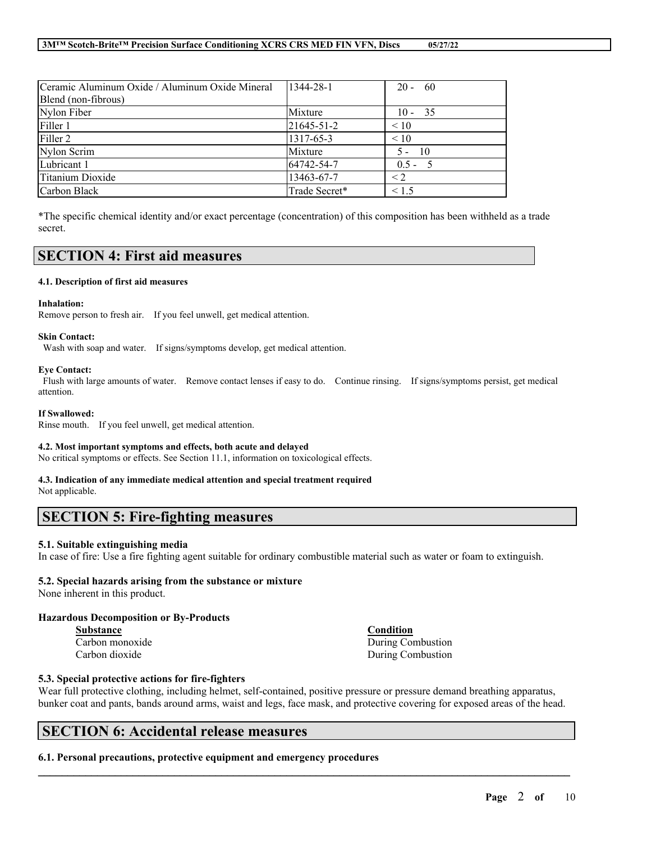| Ceramic Aluminum Oxide / Aluminum Oxide Mineral | 1344-28-1     | $20 - 60$                |
|-------------------------------------------------|---------------|--------------------------|
| Blend (non-fibrous)                             |               |                          |
| Nylon Fiber                                     | Mixture       | $10 - 35$                |
| Filler 1                                        | 21645-51-2    | $\leq 10$                |
| Filler 2                                        | 1317-65-3     | < 10                     |
| Nylon Scrim                                     | Mixture       | $\overline{10}$<br>$5 -$ |
| Lubricant 1                                     | 64742-54-7    | $0.5 - 5$                |
| Titanium Dioxide                                | 13463-67-7    | $\leq$ 2                 |
| Carbon Black                                    | Trade Secret* | < 1.5                    |

\*The specific chemical identity and/or exact percentage (concentration) of this composition has been withheld as a trade secret.

### **SECTION 4: First aid measures**

#### **4.1. Description of first aid measures**

#### **Inhalation:**

Remove person to fresh air. If you feel unwell, get medical attention.

#### **Skin Contact:**

Wash with soap and water. If signs/symptoms develop, get medical attention.

#### **Eye Contact:**

Flush with large amounts of water. Remove contact lenses if easy to do. Continue rinsing. If signs/symptoms persist, get medical attention.

#### **If Swallowed:**

Rinse mouth. If you feel unwell, get medical attention.

#### **4.2. Most important symptoms and effects, both acute and delayed**

No critical symptoms or effects. See Section 11.1, information on toxicological effects.

#### **4.3. Indication of any immediate medical attention and special treatment required**

Not applicable.

### **SECTION 5: Fire-fighting measures**

#### **5.1. Suitable extinguishing media**

In case of fire: Use a fire fighting agent suitable for ordinary combustible material such as water or foam to extinguish.

#### **5.2. Special hazards arising from the substance or mixture**

None inherent in this product.

#### **Hazardous Decomposition or By-Products**

| <b>Substance</b> | Condition         |
|------------------|-------------------|
| Carbon monoxide  | During Combustion |
| Carbon dioxide   | During Combustion |

#### **5.3. Special protective actions for fire-fighters**

Wear full protective clothing, including helmet, self-contained, positive pressure or pressure demand breathing apparatus, bunker coat and pants, bands around arms, waist and legs, face mask, and protective covering for exposed areas of the head.

 $\mathcal{L}_\mathcal{L} = \mathcal{L}_\mathcal{L} = \mathcal{L}_\mathcal{L} = \mathcal{L}_\mathcal{L} = \mathcal{L}_\mathcal{L} = \mathcal{L}_\mathcal{L} = \mathcal{L}_\mathcal{L} = \mathcal{L}_\mathcal{L} = \mathcal{L}_\mathcal{L} = \mathcal{L}_\mathcal{L} = \mathcal{L}_\mathcal{L} = \mathcal{L}_\mathcal{L} = \mathcal{L}_\mathcal{L} = \mathcal{L}_\mathcal{L} = \mathcal{L}_\mathcal{L} = \mathcal{L}_\mathcal{L} = \mathcal{L}_\mathcal{L}$ 

### **SECTION 6: Accidental release measures**

#### **6.1. Personal precautions, protective equipment and emergency procedures**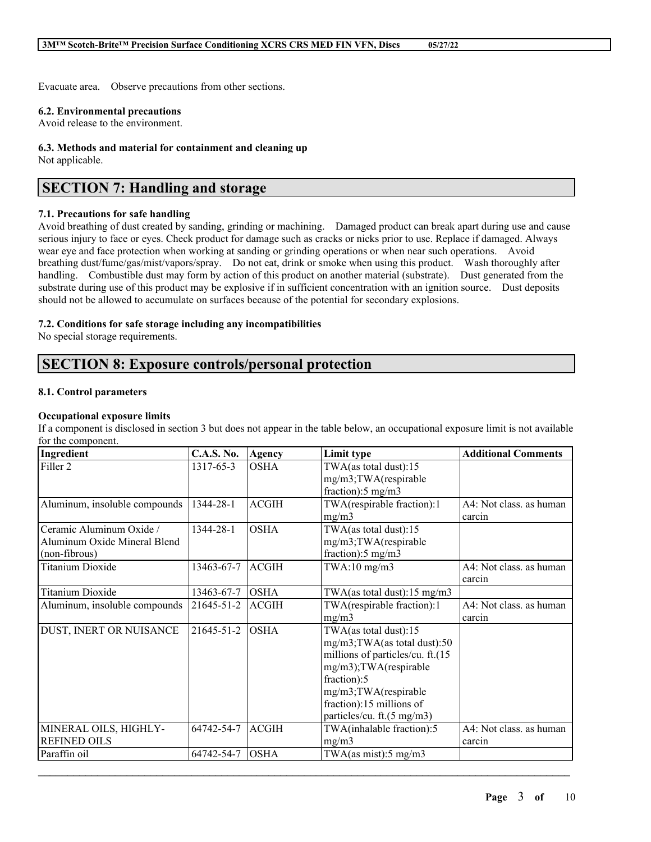Evacuate area. Observe precautions from other sections.

#### **6.2. Environmental precautions**

Avoid release to the environment.

### **6.3. Methods and material for containment and cleaning up**

Not applicable.

## **SECTION 7: Handling and storage**

#### **7.1. Precautions for safe handling**

Avoid breathing of dust created by sanding, grinding or machining. Damaged product can break apart during use and cause serious injury to face or eyes. Check product for damage such as cracks or nicks prior to use. Replace if damaged. Always wear eye and face protection when working at sanding or grinding operations or when near such operations. Avoid breathing dust/fume/gas/mist/vapors/spray. Do not eat, drink or smoke when using this product. Wash thoroughly after handling. Combustible dust may form by action of this product on another material (substrate). Dust generated from the substrate during use of this product may be explosive if in sufficient concentration with an ignition source. Dust deposits should not be allowed to accumulate on surfaces because of the potential for secondary explosions.

#### **7.2. Conditions for safe storage including any incompatibilities**

No special storage requirements.

## **SECTION 8: Exposure controls/personal protection**

#### **8.1. Control parameters**

#### **Occupational exposure limits**

If a component is disclosed in section 3 but does not appear in the table below, an occupational exposure limit is not available for the component.

| Ingredient                    | <b>C.A.S. No.</b> | <b>Agency</b> | Limit type                              | <b>Additional Comments</b> |
|-------------------------------|-------------------|---------------|-----------------------------------------|----------------------------|
| Filler <sub>2</sub>           | 1317-65-3         | <b>OSHA</b>   | TWA(as total dust):15                   |                            |
|                               |                   |               | mg/m3;TWA(respirable                    |                            |
|                               |                   |               | fraction):5 mg/m3                       |                            |
| Aluminum, insoluble compounds | 1344-28-1         | <b>ACGIH</b>  | TWA(respirable fraction):1              | A4: Not class. as human    |
|                               |                   |               | mg/m3                                   | carcin                     |
| Ceramic Aluminum Oxide /      | 1344-28-1         | <b>OSHA</b>   | TWA(as total dust):15                   |                            |
| Aluminum Oxide Mineral Blend  |                   |               | mg/m3;TWA(respirable                    |                            |
| (non-fibrous)                 |                   |               | fraction):5 mg/m3                       |                            |
| <b>Titanium Dioxide</b>       | 13463-67-7        | <b>ACGIH</b>  | $TWA:10$ mg/m $3$                       | A4: Not class. as human    |
|                               |                   |               |                                         | carcin                     |
| <b>Titanium Dioxide</b>       | 13463-67-7        | <b>OSHA</b>   | TWA(as total dust): $15 \text{ mg/m}$ 3 |                            |
| Aluminum, insoluble compounds | 21645-51-2        | <b>ACGIH</b>  | TWA(respirable fraction):1              | A4: Not class. as human    |
|                               |                   |               | mg/m3                                   | carcin                     |
| DUST, INERT OR NUISANCE       | 21645-51-2        | <b>OSHA</b>   | TWA(as total dust):15                   |                            |
|                               |                   |               | mg/m3;TWA(as total dust):50             |                            |
|                               |                   |               | millions of particles/cu. ft.(15        |                            |
|                               |                   |               | mg/m3);TWA(respirable                   |                            |
|                               |                   |               | fraction):5                             |                            |
|                               |                   |               | mg/m3;TWA(respirable                    |                            |
|                               |                   |               | fraction):15 millions of                |                            |
|                               |                   |               | particles/cu. ft.(5 mg/m3)              |                            |
| MINERAL OILS, HIGHLY-         | 64742-54-7        | <b>ACGIH</b>  | TWA(inhalable fraction):5               | A4: Not class. as human    |
| <b>REFINED OILS</b>           |                   |               | mg/m3                                   | carcin                     |
| Paraffin oil                  | 64742-54-7        | <b>OSHA</b>   | TWA(as mist): $5 \text{ mg/m}$ 3        |                            |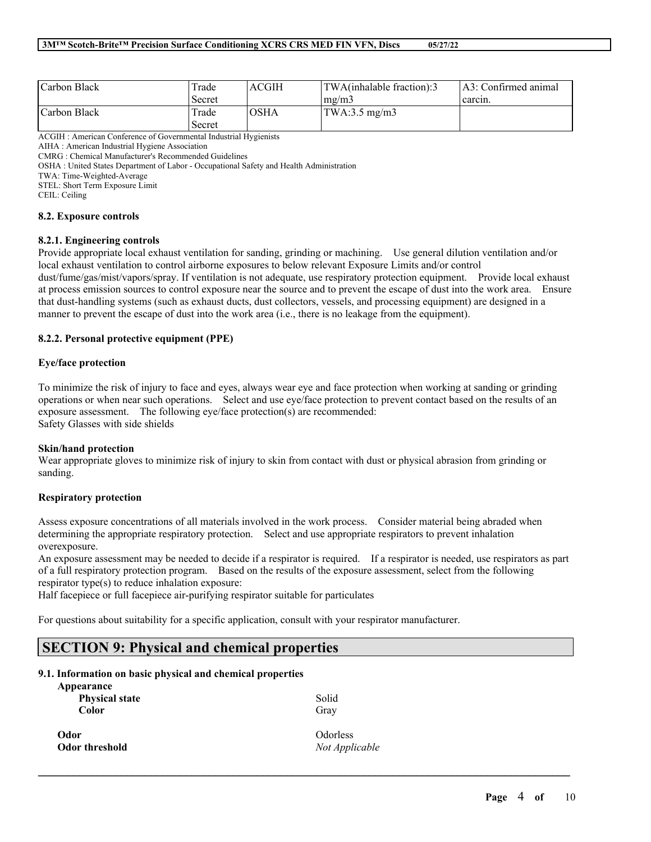| Carbon Black | Trade  | <b>ACGIH</b> | TWA(inhalable fraction):3 | [A3: Confirmed animal] |
|--------------|--------|--------------|---------------------------|------------------------|
|              | Secret |              | mg/m3                     | carcin.                |
| Carbon Black | Trade  | <b>OSHA</b>  | TWA:3.5 mg/m3             |                        |
|              | Secret |              |                           |                        |

ACGIH : American Conference of Governmental Industrial Hygienists

AIHA : American Industrial Hygiene Association

CMRG : Chemical Manufacturer's Recommended Guidelines

OSHA : United States Department of Labor - Occupational Safety and Health Administration

TWA: Time-Weighted-Average STEL: Short Term Exposure Limit

CEIL: Ceiling

#### **8.2. Exposure controls**

#### **8.2.1. Engineering controls**

Provide appropriate local exhaust ventilation for sanding, grinding or machining. Use general dilution ventilation and/or local exhaust ventilation to control airborne exposures to below relevant Exposure Limits and/or control dust/fume/gas/mist/vapors/spray. If ventilation is not adequate, use respiratory protection equipment. Provide local exhaust at process emission sources to control exposure near the source and to prevent the escape of dust into the work area. Ensure that dust-handling systems (such as exhaust ducts, dust collectors, vessels, and processing equipment) are designed in a manner to prevent the escape of dust into the work area (i.e., there is no leakage from the equipment).

#### **8.2.2. Personal protective equipment (PPE)**

#### **Eye/face protection**

To minimize the risk of injury to face and eyes, always wear eye and face protection when working at sanding or grinding operations or when near such operations. Select and use eye/face protection to prevent contact based on the results of an exposure assessment. The following eye/face protection(s) are recommended: Safety Glasses with side shields

#### **Skin/hand protection**

Wear appropriate gloves to minimize risk of injury to skin from contact with dust or physical abrasion from grinding or sanding.

#### **Respiratory protection**

Assess exposure concentrations of all materials involved in the work process. Consider material being abraded when determining the appropriate respiratory protection. Select and use appropriate respirators to prevent inhalation overexposure.

An exposure assessment may be needed to decide if a respirator is required. If a respirator is needed, use respirators as part of a full respiratory protection program. Based on the results of the exposure assessment, select from the following respirator type(s) to reduce inhalation exposure:

 $\mathcal{L}_\mathcal{L} = \mathcal{L}_\mathcal{L} = \mathcal{L}_\mathcal{L} = \mathcal{L}_\mathcal{L} = \mathcal{L}_\mathcal{L} = \mathcal{L}_\mathcal{L} = \mathcal{L}_\mathcal{L} = \mathcal{L}_\mathcal{L} = \mathcal{L}_\mathcal{L} = \mathcal{L}_\mathcal{L} = \mathcal{L}_\mathcal{L} = \mathcal{L}_\mathcal{L} = \mathcal{L}_\mathcal{L} = \mathcal{L}_\mathcal{L} = \mathcal{L}_\mathcal{L} = \mathcal{L}_\mathcal{L} = \mathcal{L}_\mathcal{L}$ 

Half facepiece or full facepiece air-purifying respirator suitable for particulates

For questions about suitability for a specific application, consult with your respirator manufacturer.

# **SECTION 9: Physical and chemical properties**

#### **9.1. Information on basic physical and chemical properties**

| Appearance<br><b>Physical state</b><br><b>Color</b> | Solid<br>Gray  |
|-----------------------------------------------------|----------------|
| Odor                                                | Odorless       |
| Odor threshold                                      | Not Applicable |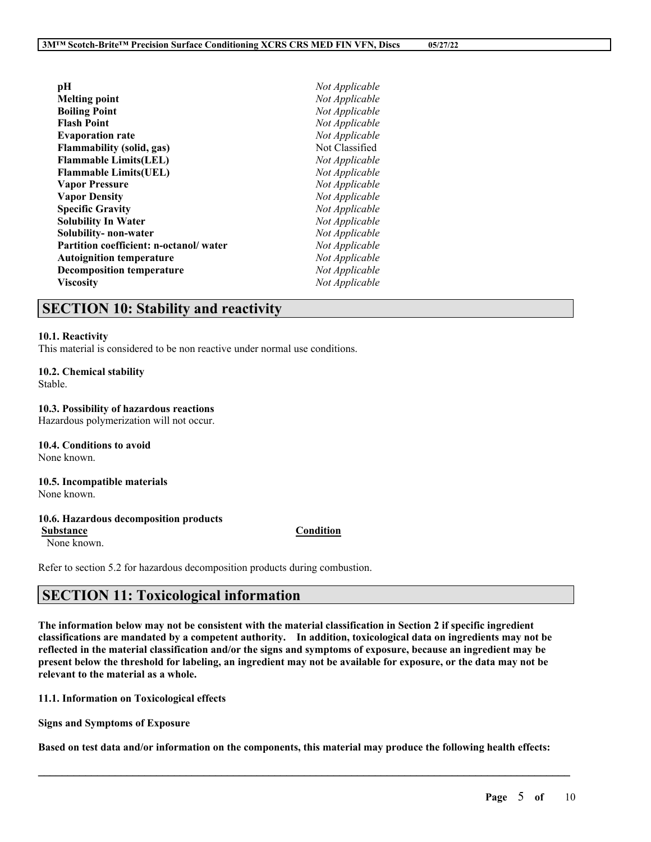| рH                                     | Not Applicable |
|----------------------------------------|----------------|
| <b>Melting point</b>                   | Not Applicable |
| <b>Boiling Point</b>                   | Not Applicable |
| Flash Point                            | Not Applicable |
| <b>Evaporation rate</b>                | Not Applicable |
| Flammability (solid, gas)              | Not Classified |
| <b>Flammable Limits(LEL)</b>           | Not Applicable |
| <b>Flammable Limits(UEL)</b>           | Not Applicable |
| <b>Vapor Pressure</b>                  | Not Applicable |
| <b>Vapor Density</b>                   | Not Applicable |
| <b>Specific Gravity</b>                | Not Applicable |
| Solubility In Water                    | Not Applicable |
| <b>Solubility- non-water</b>           | Not Applicable |
| Partition coefficient: n-octanol/water | Not Applicable |
| <b>Autoignition temperature</b>        | Not Applicable |
| <b>Decomposition temperature</b>       | Not Applicable |
| Viscositv                              | Not Applicable |

### **SECTION 10: Stability and reactivity**

#### **10.1. Reactivity**

This material is considered to be non reactive under normal use conditions.

#### **10.2. Chemical stability**

Stable.

#### **10.3. Possibility of hazardous reactions**

Hazardous polymerization will not occur.

**10.4. Conditions to avoid** None known.

**10.5. Incompatible materials** None known.

#### **10.6. Hazardous decomposition products**

**Substance Condition**

None known.

Refer to section 5.2 for hazardous decomposition products during combustion.

### **SECTION 11: Toxicological information**

The information below may not be consistent with the material classification in Section 2 if specific ingredient **classifications are mandated by a competent authority. In addition, toxicological data on ingredients may not be** reflected in the material classification and/or the signs and symptoms of exposure, because an ingredient may be present below the threshold for labeling, an ingredient may not be available for exposure, or the data may not be **relevant to the material as a whole.**

**11.1. Information on Toxicological effects**

**Signs and Symptoms of Exposure**

Based on test data and/or information on the components, this material may produce the following health effects:

 $\mathcal{L}_\mathcal{L} = \mathcal{L}_\mathcal{L} = \mathcal{L}_\mathcal{L} = \mathcal{L}_\mathcal{L} = \mathcal{L}_\mathcal{L} = \mathcal{L}_\mathcal{L} = \mathcal{L}_\mathcal{L} = \mathcal{L}_\mathcal{L} = \mathcal{L}_\mathcal{L} = \mathcal{L}_\mathcal{L} = \mathcal{L}_\mathcal{L} = \mathcal{L}_\mathcal{L} = \mathcal{L}_\mathcal{L} = \mathcal{L}_\mathcal{L} = \mathcal{L}_\mathcal{L} = \mathcal{L}_\mathcal{L} = \mathcal{L}_\mathcal{L}$ 

#### **Page** 5 **of** 10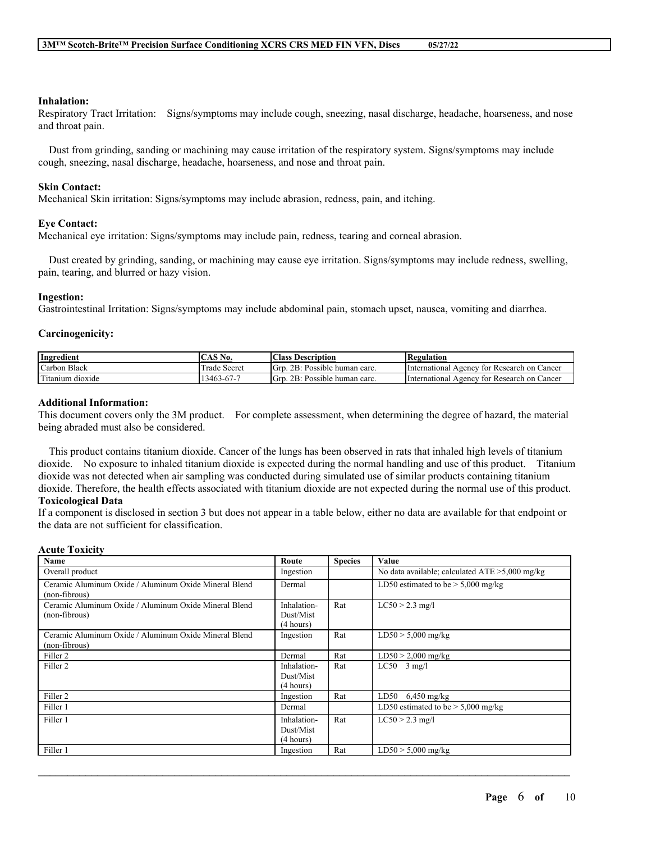#### **Inhalation:**

Respiratory Tract Irritation: Signs/symptoms may include cough, sneezing, nasal discharge, headache, hoarseness, and nose and throat pain.

Dust from grinding, sanding or machining may cause irritation of the respiratory system. Signs/symptoms may include cough, sneezing, nasal discharge, headache, hoarseness, and nose and throat pain.

#### **Skin Contact:**

Mechanical Skin irritation: Signs/symptoms may include abrasion, redness, pain, and itching.

#### **Eye Contact:**

Mechanical eye irritation: Signs/symptoms may include pain, redness, tearing and corneal abrasion.

Dust created by grinding, sanding, or machining may cause eye irritation. Signs/symptoms may include redness, swelling, pain, tearing, and blurred or hazy vision.

#### **Ingestion:**

Gastrointestinal Irritation: Signs/symptoms may include abdominal pain, stomach upset, nausea, vomiting and diarrhea.

#### **Carcinogenicity:**

| $\mathbf{v}$<br>Ingredient | AS <sub>N</sub><br>$\sim$<br>NO.  | Class.<br>Description                | Regulation                                              |
|----------------------------|-----------------------------------|--------------------------------------|---------------------------------------------------------|
| Black<br>Carbon            | <b>CONTRACT</b><br>Secret<br>rade | 2B:<br>: Possible human carc.<br>Grp | International<br>r Research on Cancer<br>tor:<br>Agency |
| cran "<br>Titanium dioxide | 13463-67-7                        | 2B:<br>Grp<br>: Possible human carc. | International<br>r Research on Cancer<br>tor<br>Agency  |

#### **Additional Information:**

This document covers only the 3M product. For complete assessment, when determining the degree of hazard, the material being abraded must also be considered.

This product contains titanium dioxide. Cancer of the lungs has been observed in rats that inhaled high levels of titanium dioxide. No exposure to inhaled titanium dioxide is expected during the normal handling and use of this product. Titanium dioxide was not detected when air sampling was conducted during simulated use of similar products containing titanium dioxide. Therefore, the health effects associated with titanium dioxide are not expected during the normal use of this product. **Toxicological Data**

If a component is disclosed in section 3 but does not appear in a table below, either no data are available for that endpoint or the data are not sufficient for classification.

#### **Acute Toxicity**

| Name                                                                   | Route                                 | <b>Species</b> | Value                                             |
|------------------------------------------------------------------------|---------------------------------------|----------------|---------------------------------------------------|
| Overall product                                                        | Ingestion                             |                | No data available; calculated $ATE > 5,000$ mg/kg |
| Ceramic Aluminum Oxide / Aluminum Oxide Mineral Blend<br>(non-fibrous) | Dermal                                |                | LD50 estimated to be $>$ 5,000 mg/kg              |
| Ceramic Aluminum Oxide / Aluminum Oxide Mineral Blend<br>(non-fibrous) | Inhalation-<br>Dust/Mist<br>(4 hours) | Rat            | $LC50 > 2.3$ mg/l                                 |
| Ceramic Aluminum Oxide / Aluminum Oxide Mineral Blend<br>(non-fibrous) | Ingestion                             | Rat            | $LD50 > 5,000$ mg/kg                              |
| Filler 2                                                               | Dermal                                | Rat            | $LD50 > 2,000$ mg/kg                              |
| Filler <sub>2</sub>                                                    | Inhalation-<br>Dust/Mist<br>(4 hours) | Rat            | $LC50$ 3 mg/l                                     |
| Filler 2                                                               | Ingestion                             | Rat            | LD50<br>$6,450$ mg/kg                             |
| Filler 1                                                               | Dermal                                |                | LD50 estimated to be $> 5,000$ mg/kg              |
| Filler 1                                                               | Inhalation-<br>Dust/Mist<br>(4 hours) | Rat            | $LC50 > 2.3$ mg/l                                 |
| Filler 1                                                               | Ingestion                             | Rat            | $LD50 > 5,000$ mg/kg                              |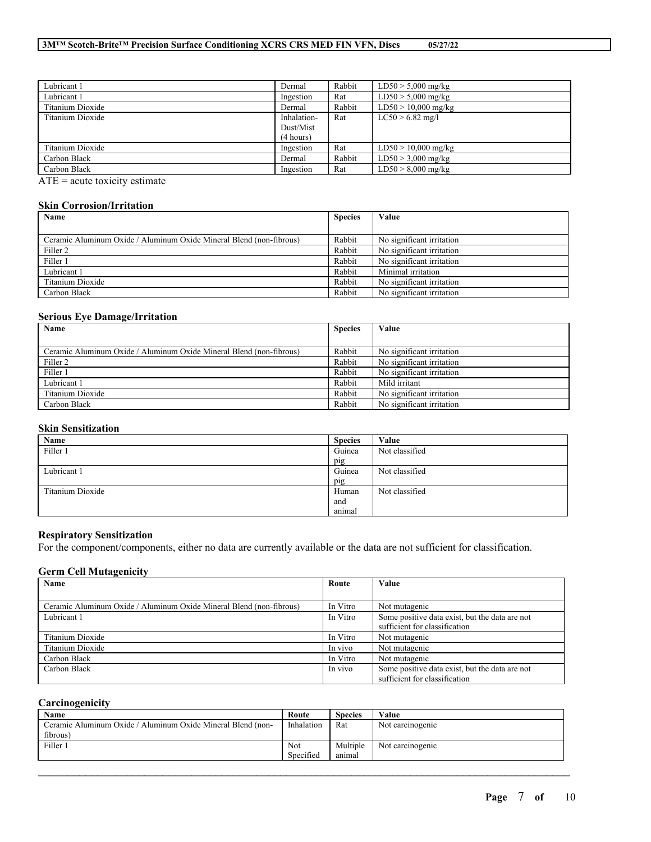#### **3M™ Scotch-Brite™ Precision Surface Conditioning XCRS CRS MED FIN VFN, Discs 05/27/22**

| Dermal      | Rabbit | $LD50 > 5,000$ mg/kg  |
|-------------|--------|-----------------------|
| Ingestion   | Rat    | $LD50 > 5,000$ mg/kg  |
| Dermal      | Rabbit | $LD50 > 10,000$ mg/kg |
| Inhalation- | Rat    | $LC50 > 6.82$ mg/l    |
| Dust/Mist   |        |                       |
| (4 hours)   |        |                       |
| Ingestion   | Rat    | $LD50 > 10,000$ mg/kg |
| Dermal      | Rabbit | $LD50 > 3,000$ mg/kg  |
| Ingestion   | Rat    | $LD50 > 8,000$ mg/kg  |
|             |        |                       |

 $ATE = acute$  toxicity estimate

#### **Skin Corrosion/Irritation**

| Name                                                                | <b>Species</b> | Value                     |
|---------------------------------------------------------------------|----------------|---------------------------|
|                                                                     |                |                           |
| Ceramic Aluminum Oxide / Aluminum Oxide Mineral Blend (non-fibrous) | Rabbit         | No significant irritation |
| Filler 2                                                            | Rabbit         | No significant irritation |
| Filler 1                                                            | Rabbit         | No significant irritation |
| Lubricant 1                                                         | Rabbit         | Minimal irritation        |
| Titanium Dioxide                                                    | Rabbit         | No significant irritation |
| Carbon Black                                                        | Rabbit         | No significant irritation |

#### **Serious Eye Damage/Irritation**

| Name                                                                | <b>Species</b> | Value                     |
|---------------------------------------------------------------------|----------------|---------------------------|
|                                                                     |                |                           |
| Ceramic Aluminum Oxide / Aluminum Oxide Mineral Blend (non-fibrous) | Rabbit         | No significant irritation |
| Filler 2                                                            | Rabbit         | No significant irritation |
| Filler 1                                                            | Rabbit         | No significant irritation |
| Lubricant 1                                                         | Rabbit         | Mild irritant             |
| Titanium Dioxide                                                    | Rabbit         | No significant irritation |
| Carbon Black                                                        | Rabbit         | No significant irritation |

#### **Skin Sensitization**

| Name             | <b>Species</b> | Value          |
|------------------|----------------|----------------|
| Filler 1         | Guinea         | Not classified |
|                  | pig            |                |
| Lubricant 1      | Guinea         | Not classified |
|                  | pig            |                |
| Titanium Dioxide | Human          | Not classified |
|                  | and            |                |
|                  | animal         |                |

#### **Respiratory Sensitization**

For the component/components, either no data are currently available or the data are not sufficient for classification.

#### **Germ Cell Mutagenicity**

| Name                                                                | Route    | Value                                          |
|---------------------------------------------------------------------|----------|------------------------------------------------|
|                                                                     |          |                                                |
| Ceramic Aluminum Oxide / Aluminum Oxide Mineral Blend (non-fibrous) | In Vitro | Not mutagenic                                  |
| Lubricant 1                                                         | In Vitro | Some positive data exist, but the data are not |
|                                                                     |          | sufficient for classification                  |
| Titanium Dioxide                                                    | In Vitro | Not mutagenic                                  |
| Titanium Dioxide                                                    | In vivo  | Not mutagenic                                  |
| Carbon Black                                                        | In Vitro | Not mutagenic                                  |
| Carbon Black                                                        | In vivo  | Some positive data exist, but the data are not |
|                                                                     |          | sufficient for classification                  |

### **Carcinogenicity**

| Name                                                        | Route      | <b>Species</b> | Value            |
|-------------------------------------------------------------|------------|----------------|------------------|
| Ceramic Aluminum Oxide / Aluminum Oxide Mineral Blend (non- | Inhalation | Rat            | Not carcinogenic |
| fibrous)                                                    |            |                |                  |
| Filler 1                                                    | Not        | Multiple       | Not carcinogenic |
|                                                             | Specified  | anımal         |                  |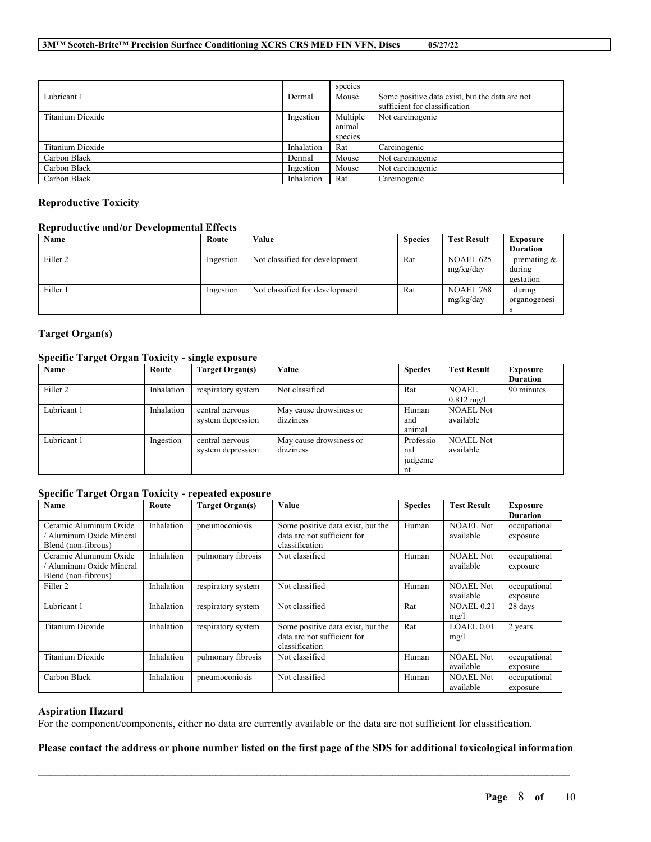|                  |            | species                       |                                                                                 |
|------------------|------------|-------------------------------|---------------------------------------------------------------------------------|
| Lubricant 1      | Dermal     | Mouse                         | Some positive data exist, but the data are not<br>sufficient for classification |
| Titanium Dioxide | Ingestion  | Multiple<br>animal<br>species | Not carcinogenic                                                                |
| Titanium Dioxide | Inhalation | Rat                           | Carcinogenic                                                                    |
| Carbon Black     | Dermal     | Mouse                         | Not carcinogenic                                                                |
| Carbon Black     | Ingestion  | Mouse                         | Not carcinogenic                                                                |
| Carbon Black     | Inhalation | Rat                           | Carcinogenic                                                                    |

#### **Reproductive Toxicity**

#### **Reproductive and/or Developmental Effects**

| Name                | Route     | Value                          | <b>Species</b> | <b>Test Result</b>            | <b>Exposure</b>                       |
|---------------------|-----------|--------------------------------|----------------|-------------------------------|---------------------------------------|
|                     |           |                                |                |                               | <b>Duration</b>                       |
| Filler <sub>2</sub> | Ingestion | Not classified for development | Rat            | <b>NOAEL 625</b><br>mg/kg/day | premating $\&$<br>during<br>gestation |
| Filler 1            | Ingestion | Not classified for development | Rat            | <b>NOAEL 768</b><br>mg/kg/day | during<br>organogenesi                |

#### **Target Organ(s)**

#### **Specific Target Organ Toxicity - single exposure**

| Name        | Route      | Target Organ(s)                      | Value                                | <b>Species</b>                    | <b>Test Result</b>                   | Exposure<br><b>Duration</b> |
|-------------|------------|--------------------------------------|--------------------------------------|-----------------------------------|--------------------------------------|-----------------------------|
| Filler 2    | Inhalation | respiratory system                   | Not classified                       | Rat                               | <b>NOAEL</b><br>$0.812 \text{ mg/l}$ | 90 minutes                  |
| Lubricant 1 | Inhalation | central nervous<br>system depression | May cause drowsiness or<br>dizziness | Human<br>and<br>animal            | <b>NOAEL Not</b><br>available        |                             |
| Lubricant 1 | Ingestion  | central nervous<br>system depression | May cause drowsiness or<br>dizziness | Professio<br>nal<br>judgeme<br>nt | <b>NOAEL Not</b><br>available        |                             |

#### **Specific Target Organ Toxicity - repeated exposure**

| Name                                                                    | Route      | <b>Target Organ(s)</b> | Value                                                                              | <b>Species</b> | <b>Test Result</b>            | <b>Exposure</b><br><b>Duration</b> |
|-------------------------------------------------------------------------|------------|------------------------|------------------------------------------------------------------------------------|----------------|-------------------------------|------------------------------------|
| Ceramic Aluminum Oxide<br>Aluminum Oxide Mineral<br>Blend (non-fibrous) | Inhalation | pneumoconiosis         | Some positive data exist, but the<br>data are not sufficient for<br>classification | Human          | <b>NOAEL Not</b><br>available | occupational<br>exposure           |
| Ceramic Aluminum Oxide<br>Aluminum Oxide Mineral<br>Blend (non-fibrous) | Inhalation | pulmonary fibrosis     | Not classified                                                                     | Human          | <b>NOAEL Not</b><br>available | occupational<br>exposure           |
| Filler 2                                                                | Inhalation | respiratory system     | Not classified                                                                     | Human          | <b>NOAEL Not</b><br>available | occupational<br>exposure           |
| Lubricant 1                                                             | Inhalation | respiratory system     | Not classified                                                                     | Rat            | <b>NOAEL 0.21</b><br>mg/l     | 28 days                            |
| Titanium Dioxide                                                        | Inhalation | respiratory system     | Some positive data exist, but the<br>data are not sufficient for<br>classification | Rat            | LOAEL 0.01<br>mg/l            | 2 years                            |
| Titanium Dioxide                                                        | Inhalation | pulmonary fibrosis     | Not classified                                                                     | Human          | <b>NOAEL Not</b><br>available | occupational<br>exposure           |
| Carbon Black                                                            | Inhalation | pneumoconiosis         | Not classified                                                                     | Human          | <b>NOAEL Not</b><br>available | occupational<br>exposure           |

#### **Aspiration Hazard**

For the component/components, either no data are currently available or the data are not sufficient for classification.

#### Please contact the address or phone number listed on the first page of the SDS for additional toxicological information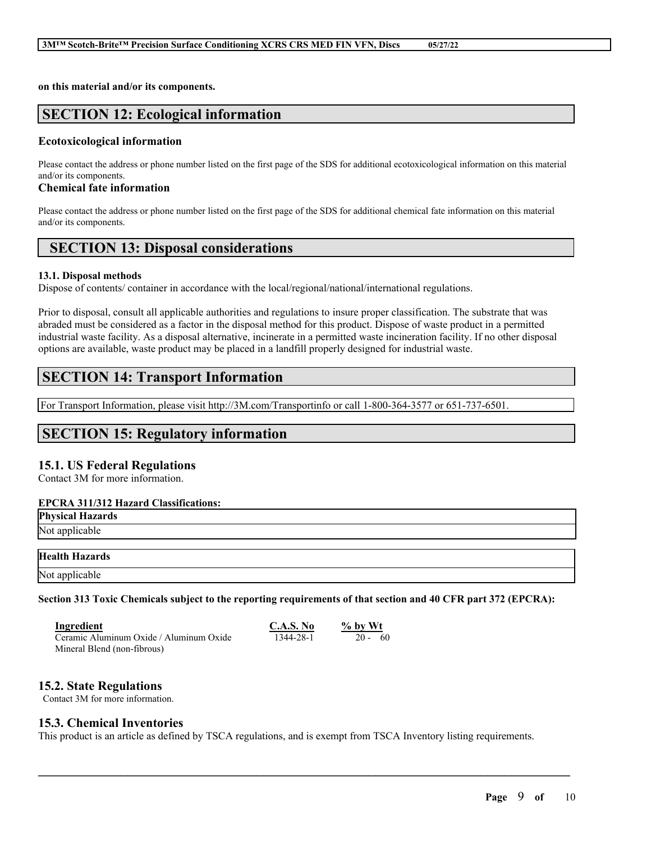**on this material and/or its components.**

### **SECTION 12: Ecological information**

#### **Ecotoxicological information**

Please contact the address or phone number listed on the first page of the SDS for additional ecotoxicological information on this material and/or its components.

#### **Chemical fate information**

Please contact the address or phone number listed on the first page of the SDS for additional chemical fate information on this material and/or its components.

### **SECTION 13: Disposal considerations**

#### **13.1. Disposal methods**

Dispose of contents/ container in accordance with the local/regional/national/international regulations.

Prior to disposal, consult all applicable authorities and regulations to insure proper classification. The substrate that was abraded must be considered as a factor in the disposal method for this product. Dispose of waste product in a permitted industrial waste facility. As a disposal alternative, incinerate in a permitted waste incineration facility. If no other disposal options are available, waste product may be placed in a landfill properly designed for industrial waste.

### **SECTION 14: Transport Information**

For Transport Information, please visit http://3M.com/Transportinfo or call 1-800-364-3577 or 651-737-6501.

### **SECTION 15: Regulatory information**

#### **15.1. US Federal Regulations**

Contact 3M for more information.

#### **EPCRA 311/312 Hazard Classifications:**

| <b>Physical Hazards</b> |  |  |
|-------------------------|--|--|
| Not applicable          |  |  |
| <b>Health Hazards</b>   |  |  |
| Not applicable          |  |  |

Section 313 Toxic Chemicals subject to the reporting requirements of that section and 40 CFR part 372 (EPCRA):

| Ingredient                              | C.A.S. No | $%$ by Wt |
|-----------------------------------------|-----------|-----------|
| Ceramic Aluminum Oxide / Aluminum Oxide | 1344-28-1 | $20 - 60$ |
| Mineral Blend (non-fibrous)             |           |           |

#### **15.2. State Regulations**

Contact 3M for more information.

#### **15.3. Chemical Inventories**

This product is an article as defined by TSCA regulations, and is exempt from TSCA Inventory listing requirements.